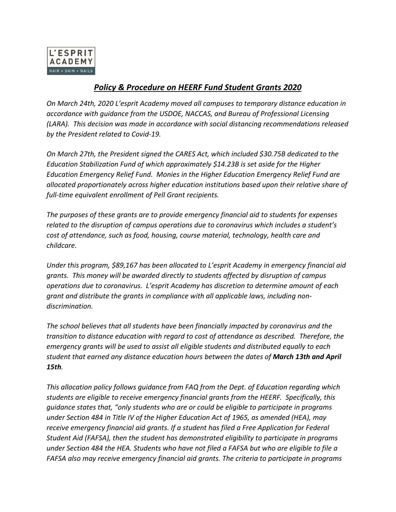

## *Policy & Procedure on HEERF Fund Student Grants 2020*

*On March 24th, 2020 L'esprit Academy moved all campuses to temporary distance education in accordance with guidance from the USDOE, NACCAS, and Bureau of Professional Licensing (LARA). This decision was made in accordance with social distancing recommendations released by the President related to Covid-19.*

*On March 27th, the President signed the CARES Act, which included \$30.75B dedicated to the Education Stabilization Fund of which approximately \$14.23B is set aside for the Higher Education Emergency Relief Fund. Monies in the Higher Education Emergency Relief Fund are allocated proportionately across higher education institutions based upon their relative share of full-time equivalent enrollment of Pell Grant recipients.*

*The purposes of these grants are to provide emergency financial aid to students for expenses related to the disruption of campus operations due to coronavirus which includes a student's cost of attendance, such as food, housing, course material, technology, health care and childcare.*

*Under this program, \$89,167 has been allocated to L'esprit Academy in emergency financial aid grants. This money will be awarded directly to students affected by disruption of campus operations due to coronavirus. L'esprit Academy has discretion to determine amount of each grant and distribute the grants in compliance with all applicable laws, including nondiscrimination.*

*The school believes that all students have been financially impacted by coronavirus and the transition to distance education with regard to cost of attendance as described. Therefore, the emergency grants will be used to assist all eligible students and distributed equally to each student that earned any distance education hours between the dates of March 13th and April 15th.* 

*This allocation policy follows guidance from FAQ from the Dept. of Education regarding which students are eligible to receive emergency financial grants from the HEERF. Specifically, this guidance states that, "only students who are or could be eligible to participate in programs under Section 484 in Title IV of the Higher Education Act of 1965, as amended (HEA), may receive emergency financial aid grants. If a student has filed a Free Application for Federal Student Aid (FAFSA), then the student has demonstrated eligibility to participate in programs under Section 484 the HEA. Students who have not filed a FAFSA but who are eligible to file a FAFSA also may receive emergency financial aid grants. The criteria to participate in programs*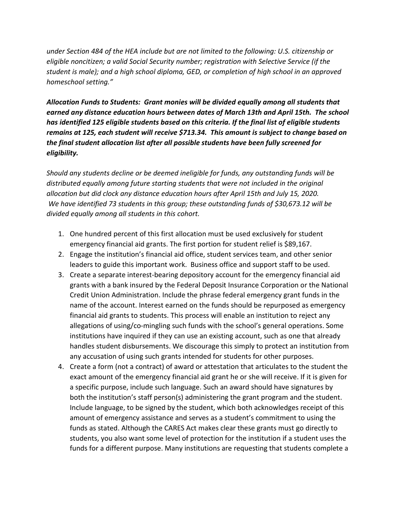*under Section 484 of the HEA include but are not limited to the following: U.S. citizenship or eligible noncitizen; a valid Social Security number; registration with Selective Service (if the student is male); and a high school diploma, GED, or completion of high school in an approved homeschool setting."*

*Allocation Funds to Students: Grant monies will be divided equally among all students that earned any distance education hours between dates of March 13th and April 15th. The school has identified 125 eligible students based on this criteria. If the final list of eligible students remains at 125, each student will receive \$713.34. This amount is subject to change based on the final student allocation list after all possible students have been fully screened for eligibility.*

*Should any students decline or be deemed ineligible for funds, any outstanding funds will be distributed equally among future starting students that were not included in the original*  allocation but did clock any distance education hours after April 15th and July 15, 2020. *We have identified 73 students in this group; these outstanding funds of \$30,673.12 will be divided equally among all students in this cohort.* 

- 1. One hundred percent of this first allocation must be used exclusively for student emergency financial aid grants. The first portion for student relief is \$89,167.
- 2. Engage the institution's financial aid office, student services team, and other senior leaders to guide this important work. Business office and support staff to be used.
- 3. Create a separate interest-bearing depository account for the emergency financial aid grants with a bank insured by the Federal Deposit Insurance Corporation or the National Credit Union Administration. Include the phrase federal emergency grant funds in the name of the account. Interest earned on the funds should be repurposed as emergency financial aid grants to students. This process will enable an institution to reject any allegations of using/co-mingling such funds with the school's general operations. Some institutions have inquired if they can use an existing account, such as one that already handles student disbursements. We discourage this simply to protect an institution from any accusation of using such grants intended for students for other purposes.
- 4. Create a form (not a contract) of award or attestation that articulates to the student the exact amount of the emergency financial aid grant he or she will receive. If it is given for a specific purpose, include such language. Such an award should have signatures by both the institution's staff person(s) administering the grant program and the student. Include language, to be signed by the student, which both acknowledges receipt of this amount of emergency assistance and serves as a student's commitment to using the funds as stated. Although the CARES Act makes clear these grants must go directly to students, you also want some level of protection for the institution if a student uses the funds for a different purpose. Many institutions are requesting that students complete a